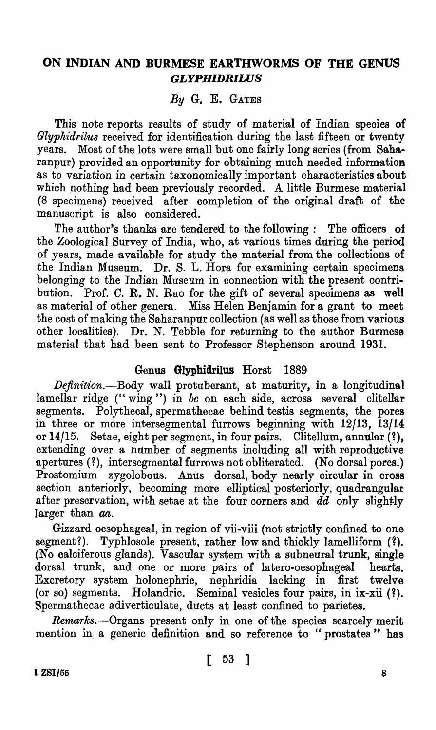# ON INDIAN AND BURMESE EARTHWORMS OF THE GENUS *GLYPHIDRILUS*

*By* G. E. GATES

This note reports results of study of material of Indian species of *Glypkidrilus* received for identification during the last fifteen or twenty years. Most of the lots were small but one fairly long series (from Saharanpur) provided an opportunity for obtaining much needed information as to variation in certain taxonomically important characteristics about which nothing had been previously recorded. A little Burmese material (8 specimens) received after completion of the original draft of the manuscript is also considered.

The author's thanks are tendered to the following: The officers of the Zoological Survey of India, 'who, at various times during the period of years, made available for study the material from the collections of ·the Indian Museum. Dr. S. L. Hora for examining certain specimens belonging to the Indian Museum in connection with the present contribution. Prof. C. R. N. Rao for the gift of several specimens as well as material of other genera. Miss Helen Benjamin for a grant to meet the cost of making the Saharanpur collection (as well as those from various other localities). Dr. N. Tebble for returning to the author Burmese material that had been sent to Professor Stephenson around 1931.

# Genus Glyphidrilus Horst 1889

*Definition.-Body* wall protuberant, at maturity, in a longitudinal lamellar ridge (" wing ") in *be* on each side, across several clitellar segments. Polythecal, spermathecae behind test is segments, the pores in three or more intersegmental furrows beginning with 12/13, 13/14 or  $14/15$ . Setae, eight per segment, in four pairs. Clitellum, annular  $(?)$ , extending over a number of segments including all with reproductive apertures (?), intersegmental furrows not obliterated. (No dorsal pores.) Prostomium zygolobous. Anus dorsal, body nearly circular in cross section anteriorly, becoming more elliptical posteriorly, quadrangular after preservation, with setae at the four corners and dd only slightly larger than aa.

Gizzard oesophageal, in region of vii-viii (not strictly confined to one segment?). Typhlosole present, rather low and thickly lamelliform  $(?)$ . (No calciferous glands). Vascular system with a subneural trunk, single dorsal trunk, and one or more pairs of latero-oesophageal hearts. Excretory system holonephric, nephridia lacking in first twelve (or so) segments. Holandric. Seminal vesicles four pairs, in ix-xii (?). Spermathecae adiverticulate, ducts at least confined to parietes.

*Remarks.-Organs* present only in one of the species scarcely merit mention in a generic definition and so reference to "prostates" has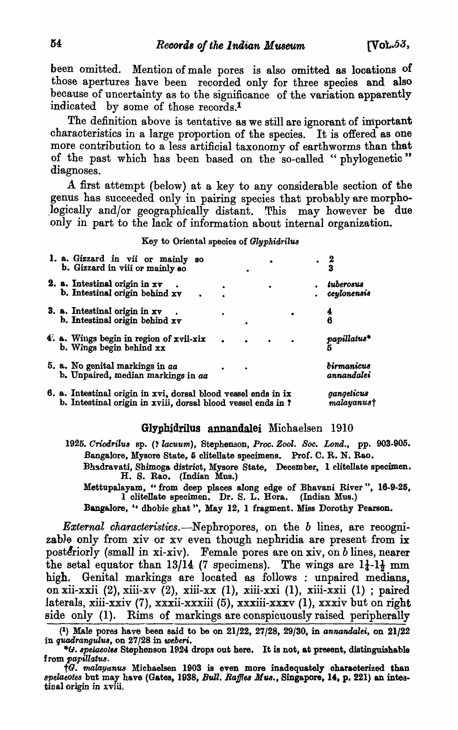been omitted. Mention of male pores is also omitted as locations of those apertures have been recorded only for three species and also because of uncertainty as to the significance of the variation apparently indicated by some of those records.<sup>1</sup>

The definition above is tentative as we still are ignorant of important characteristics in a large proportion of the species. It is offered as one more contribution to a less artificial taxonomy of earthworms than that of the past which has been based on the so-called "phylogenetic" diagnoses.

A first attempt (below) at a key to any considerable section of the genus has succeeded only in pairing species that probably are morpho logically and/or geographically distant. This may however be due only in part to the lack of information about internal organization.

#### Key to Oriental species of *Glyphidrilus*

|  | 1. a. Gizzard in vii or mainly so<br>b. Gizzard in viii or mainly so                                                           |                          |  |                                 |
|--|--------------------------------------------------------------------------------------------------------------------------------|--------------------------|--|---------------------------------|
|  | 2. a. Intestinal origin in $xy$<br>b. Intestinal origin behind xv                                                              |                          |  | tuberosus<br>ceylonensis        |
|  | 3. a. Intestinal origin in xv<br>b. Intestinal origin behind xv                                                                |                          |  | 4<br>6                          |
|  | 4. a. Wings begin in region of xvii-xix<br>b. Wings begin behind $xx$                                                          |                          |  | papillatus*                     |
|  | 5. a. No genital markings in aa<br>b. Unpaired, median markings in aa                                                          |                          |  | <i>birmanicus</i><br>annandalei |
|  | 6. a. Intestinal origin in xvi, dorsal blood vessel ends in ix<br>b. Intestinal origin in xviii, dorsal blood vessel ends in ? | gangeticus<br>malayanust |  |                                 |

#### GlyphidriIus annandalei Michaelsen 1910

*1925. Oriod'1'ilus* sp. (' *lacuum.),* Stephenson, *Proc. Zool. Soc.* Lond., pp. 903-905. Bangalore, Mysore State, 5 clitellate specimens. Prof. C. R. N. Rao.

Bhadravati, Shimoga district, Mysore State, December, 1 clitellate specimen. H. S. Rao. (Indian Mus.)

Mettupalayam, "from deep places along edge of Bhavani River", 16-9-25, 1 cIitellate speoimen. Dr. S. L. Hora. (Indian Mus.)

Bangalore, " dhobie ghat", May 12, 1 fragment. Miss Dorothy Pearson.

*Ea;ternal characteristics.-Nephropores,* on the *b* lines, are recognizable only from xiv or xv even though nephridia are present from ix posteriorly (small in xi-xiv). Female pores are on xiv, on *b* lines, nearer the setal equator than 13/14 (7 specimens). The wings are  $1\frac{1}{4}$ -1 $\frac{1}{2}$  mm high. Genital markings are located as follows : unpaired medians, on xii-xxii (2), xiii-xv (2), xiii-xx (1), xiii-xxi (1), xiii-xxii (1); paired laterals, xiii-xxiv (7), xxxii-xxxiii (5), xxxiii-xxxv (1), xxxiv but on right side only (1). Rims of markings are conspicuously raised peripherally

<sup>(&</sup>lt;sup>1</sup>) Male pores have been said to be on 21/22, 27/28, 29/30, in *annandalei*, on 21/22 in quadrangulus, on 27/28 in weberi.

<sup>• (;1.</sup> *spetaeolu* Stephenson 1924 drops out here. It is not, at present, distinguishable

 $\dagger G.$  malayanus Michaelsen 1903 is even more inadequately characterized than *8pelaeotes* but may have (Gates, 1938, *Bull. Raffles Mus.*, Singapore, 14, p. 221) an intestinal origin in xviii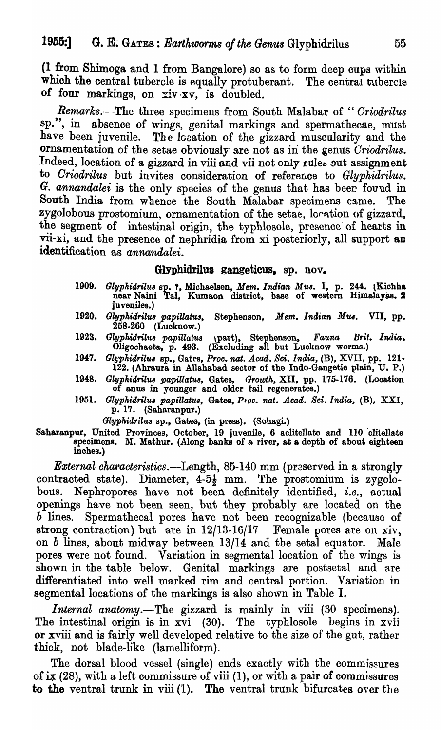(1 from Shimoga and 1 from Bangalore) so as to form deep cups within which the central tubercle is equally protuberant. The central tubercle of four markings, on  $xi v \cdot xy$ , is doubled.

*Remarks.-The* three specimens from South Malabar of *"Oriodrilus*  sp.", in absence of wings, genital markings and spermathecae, must have been juvenile. The location of the gizzard muscularity and the ornamentation of the setae obviously are not as in the genus *Criodrilus*. Indeed, location of a gizzard in viii and vii not only rules out assignment to *Criodrilus* but invites consideration of reference to *Glyphidrilus*. G. annandalei is the only species of the genus that has beer found in South India from whence the South Malabar specimens came. The zygolobous prostomium, ornamentation of the setae, location of gizzard, the segment of intestinal origin, the typhlosole, presence' of hearts in vii-xi, and the presence of nephridia from xi posteriorly, all support an identification as *annandalei.* 

# GlYphidrilus gangeticus, ap. nov.

- *1909. GlypkirJrilu8* ap. 1, Michaelsen, *Mem. Indian M'U8.* I, p. 244. (Kichha near Naini Tal, Kumaon district, base of western Himalayas. 2 juveniles. )
- *1920. GlypkidrilU8 papiUatw,* Stephenson, *Mem. Indian M1U.* VII, pp. 258.260 (Lucknow.)
- 1923. Glyphidrilus papillatus (part), Stephenson, *Fauna Brit. India.* Oligoohaeta, p. 493. (Excluding all but Luoknow worms.)
- 1947. Glyphidrilus sp., Gates, *Proc. nat. Acad. Sci. India*, (B), XVII, pp. 121-122. (Ahraura in Allahabad sector of the Indo-Gangetic plain, U. P.)
- 1948. *Glyphidrilus papillatus*, Gates, *Growth*, XII, pp. 175-176. (Location of anus in younger and older tail regenerates.)
- 1951. Glyphidrilus papillatus, Gates, Proc. nat. Acad. Sci. India, (B), XXI, p. 17. (Saharanpur.)
	- *Glyphidrilus* sp., Gates, (in press). (Sohagi.)
- Saharanpur, United Provinces, October, 19 juvenile, 6 aclitellate and 110 'olitellate specimens. M. Mathur. (Along banks of a river, at a depth of about eighteen inobes.)

*External characteristics*.—Length, 85-140 mm (preserved in a strongly contracted state). Diameter,  $4-5\frac{1}{2}$  mm. The prostomium is zygolobous. Nephropores have not been definitely identified, *i.e.*, actual openings have not been seen, but they probably are located on the *b* lines. Spermathecal pores have not been recognizable (because of strong contraction) but are in  $12/13-16/17$  Female pores are on xiv, on b lines, about midway between 13/14 and the setal equator. Male pores were not found. Variation in segmental location of the wings is shown in the table below. Genital markings are postsetal and are differentiated into well marked rim and central portion. Variation in segmental locations of the markings is also shown in Table I.

*Internal anatomy.*—The gizzard is mainly in viii (30 specimens). The intestinal origin is in xvi (30). The typhlosole begins in xvii or xviii and is fairly well developed relative to the size of the gut, rather thick, not blade-like (lamelliform).

The dorsal blood vessel (single) ends exactly with the commissures of ix (28), with a left commissure of viii (1), or with a pair of commissures to the ventral trunk in viii (1). The ventral trunk bifurcates over the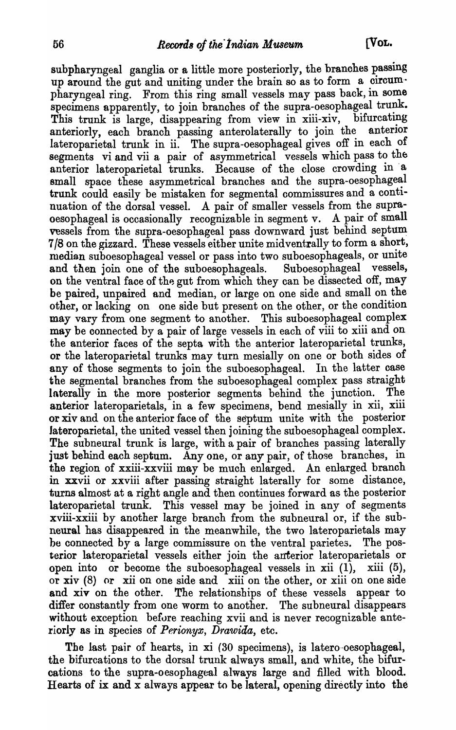subpharyngeal ganglia or a little more posteriorly, the branohes passing up around the gut and uniting under the brain so as to form a circumpharyngeal ring. From this ring small vessels may pass back, in some specimens apparently, to join branches of the supra-oesophageal trunk. This trunk is large, disappearing from view in xiii-xiv, bifurcating<br>anteriorly each branch passing anterolaterally to join the anterior anteriorly, each branch passing anterolaterally to join the lateroparietal trunk in ii. The supra-oesophageal gives off in each of segments vi and vii a pair of asymmetrical vessels which pass to the anterior lateroparietal trunks. Because of the close crowding in 'a small space these asymmetrical branches and the supra-oesophageal trunk could easily be mistaken for segmental commissures and a continuation of the dorsal vessel. A pair of smaller vessels from the supraoesophageal is occasionally recognizable in segment v. A pair of small vessels from the supra-oesophageal pass downward just behind septum 7/8 on the gizzard. These vessels either unite midventrally to form a short, median suboesophageal vessel or pass into two suboesophageals, or unite and then join one of the suboesophageals. Suboesophageal vessels, and then join one of the suboesophageals. on the ventral face of the gut from which they can be dissected off, may be paired, unpaired and median, or large on one side and small on the other, or lacking on one side but present on the other, or the condition may vary from one segment to another. This suboesophageal complex may be connected by a pair of large vessels in each of viii to xiii and on the anterior faces of the septa with the anterior lateroparietal trunks, or the lateroparietal trunks may turn mesially on one or both sides of any of those segments to join the suboesophageal. In the latter case the segmental branches from the suboesophageal complex pass straight laterally in the more posterior segments behind the junction. The anterior lateroparietals, in a few specimens, bend mesially in xii, xiii or xiv and on the anterior face of the septum unite with the posterior Jateroparietal, the united vessel then joining the suboesophageal complex. The subneural trunk is large, with a pair of branches passing laterally just behind each septum. Any one, or any pair, of those branches, in the region of xxiii-xxviii may be much enlarged. An enlarged branch in xxvii or xxviii after passing straight laterally for some distance, turns almost at a right angle and then oontinues forward as the posterior lateroparietal trunk. This vessel may be joined in any of segments xviii-xxiii by another large branch from the subneural or, if the subneural has disappeared in the meanwhile, the two lateroparietals may be connected by a large commissure on the ventral parietes. The posterior lateroparietaI vessels either join the anterior lateroparietals or open into or become the suboesophageal vessels in xii  $(1)$ , xiii  $(5)$ , or xiv (8) or xii on one side and xiii on the other, or xiii on one side and xiv on the other. The relationships of these vessels appear to differ constantly from one worm to another. The subneural disappears without exception before reaching xvii and is never recognizable anteriorly as in species of *Perionyx, Drawida*, etc.

The last pair of hearts, in xi (30 specimens), is latero-oesophageal, the bifurcations to the dorsal trunk always small, and white, the bifurcations to the supra-oesophageal always large and filled with blood. Hearts of ix and x always appear to be lateral, opening directly into the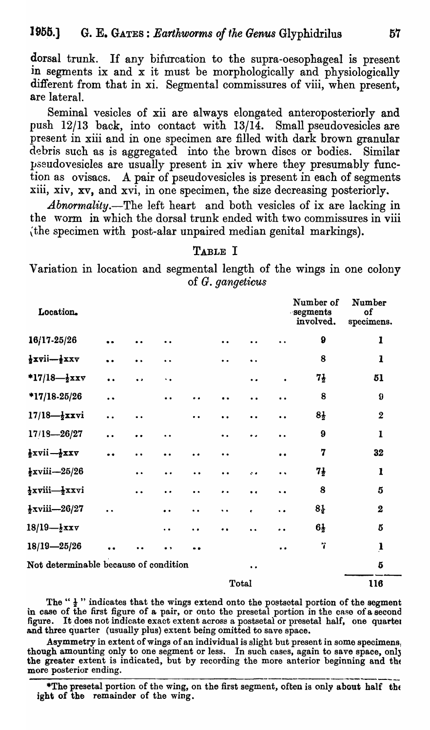dorsal trunk. If any bifurcation to the supra-oesophageal is present in segments ix and x it must be morphologically and physiologically different from that in xi. Segmental commissures of viii, when present, are lateral.

Seminal vesicles of xii are always elongated anteroposteriorly and push 12/13 back, into contact with 13/14. Small pseudovesicles are present in xiii and in one specimen are filled with dark brown granular debris such as is aggregated into the brown discs or bodies. Similar pseudovesicles are usually present in xiv where they presumably function as ovisacs. A pair of pseudovesicles is present in each of segments xiii, xiv, xv, and xvi, in one specimen, the size decreasing posteriorly.

*Abnormality.*-The left heart and both vesicles of ix are lacking in the worm in whioh the dorsal trunk ended with two commissures in viii \the specimen with post-alar unpaired median genital markings).

#### TABLE I

Variation in looation and segmental length of the wings in one colony of G. *gangeticus* 

| Location.                                          |                      |                      |                      |                      |                      |                      |                      | Number of<br>segments<br>involved. | Number<br>of<br>specimens. |  |
|----------------------------------------------------|----------------------|----------------------|----------------------|----------------------|----------------------|----------------------|----------------------|------------------------------------|----------------------------|--|
| $16/17 - 25/26$                                    | $\bullet$            |                      |                      |                      | $\bullet$            | $\bullet\;\bullet$   | . .                  | $\boldsymbol{9}$                   | $\mathbf{I}$               |  |
| $\frac{1}{2}$ xvii— $\frac{1}{2}$ xxv              | $\ddot{\phantom{0}}$ | . .                  | $\ddot{\phantom{a}}$ |                      |                      | $\ddot{\phantom{0}}$ |                      | 8                                  | $\mathbf{1}$               |  |
| *17/18- $\frac{1}{2}$ xxv                          | $\bullet$            | $\bullet$            | $\ddot{\phantom{0}}$ |                      |                      | $\bullet$            | $\bullet$            | $7\frac{1}{2}$                     | 51                         |  |
| $*17/18-25/26$                                     | $\ddot{\phantom{0}}$ |                      |                      |                      |                      | $\ddot{\phantom{a}}$ | $\ddot{\phantom{a}}$ | 8                                  | $\boldsymbol{\theta}$      |  |
| $17/18 - \frac{1}{2}$ xxvi                         | $\ddot{\phantom{a}}$ | $\bullet\bullet$     |                      | $\ddot{\phantom{a}}$ | $\bullet$            | $\ddot{\phantom{a}}$ | $\ddot{\phantom{0}}$ | $8\frac{1}{2}$                     | $\boldsymbol{2}$           |  |
| $17/18 - 26/27$                                    | $\bullet$            | $\bullet$            | $\ddot{\phantom{a}}$ |                      | $\ddot{\phantom{a}}$ | $\bullet\,\bullet$   | $\ddot{\phantom{0}}$ | 9                                  | $\mathbf{I}$               |  |
| $\frac{1}{2}$ xvii $-\frac{1}{2}$ xxv              | $\bullet$            | $\ddot{\phantom{0}}$ | . .                  | $\bullet$            | $\bullet$            |                      | $\bullet\bullet$     | 7                                  | 32                         |  |
| $\frac{1}{2}$ xviii—25/26                          |                      | $\bullet$            | $\bullet$            | $\ddot{\phantom{0}}$ | $\bullet$            | $\mathcal{L}$        | $\ddot{\phantom{a}}$ | $7\frac{1}{2}$                     | 1                          |  |
| $\frac{1}{2}$ xviii— $\frac{1}{2}$ xxvi            |                      | $\ddot{\phantom{0}}$ | . .                  | $\ddot{\phantom{a}}$ |                      | $\bullet$            | $\ddot{\phantom{a}}$ | 8                                  | $\bf{5}$                   |  |
| $\frac{1}{2}$ xviii—26/27                          | $\ddot{\phantom{a}}$ |                      | $\bullet$            | $\bullet$            | $\ddot{\phantom{a}}$ | $\bullet$            | $\ddot{\bullet}$     | $8\frac{1}{2}$                     | $\boldsymbol{2}$           |  |
| $18/19 - \frac{1}{2}$ xxv                          |                      |                      | $\ddot{\phantom{0}}$ |                      |                      |                      | $\ddot{\phantom{0}}$ | $6\frac{1}{2}$                     | 5                          |  |
| $18/19 - 25/26$                                    |                      |                      | . .                  |                      |                      |                      | $\bullet$            | Ÿ                                  | $\mathbf{I}%$              |  |
| Not determinable because of condition<br>$\bullet$ |                      |                      |                      |                      |                      |                      |                      |                                    |                            |  |
|                                                    | <b>Total</b>         |                      |                      |                      |                      |                      |                      |                                    |                            |  |

The " $\frac{1}{2}$ " indicates that the wings extend onto the postsetal portion of the segment in case of the first figure of a pair, or onto the presetal portion in the case of a second figure. It does not indicate exact extent across a postsetal or presetal half, one quarter and three quarter (usually plus) extent being omitted to save space.

Asymmetry in extent of wings of an individual is slight but present in some specimens, though amounting only to one segment or less. In such cases, again to save space, only the greater extent is indicated, but by recording the more anterior beginning and the more posterior ending.

\*The presetal portion of the wing, on the first segment, often is only about half the ight of the remainder of the wing.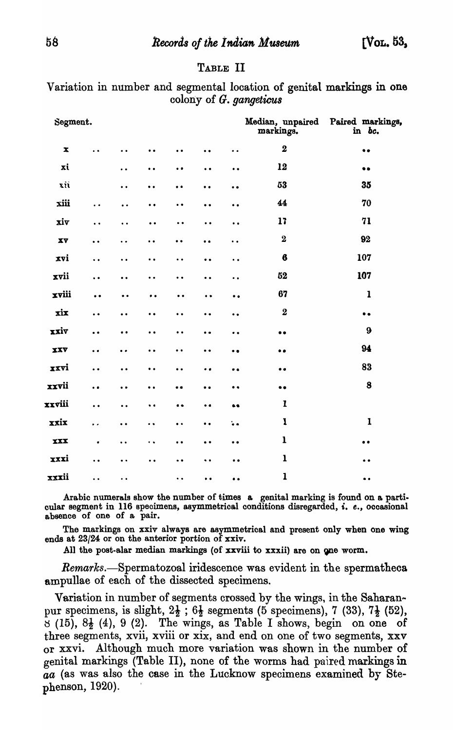## TABLE II

| Segment.               |                                        |                      |                      |                      |                                        |                             | markings.        | Median, unpaired Paired markings,<br>in bc.                                                                                                                                                                                                                                                                                                                                                                                                                                        |
|------------------------|----------------------------------------|----------------------|----------------------|----------------------|----------------------------------------|-----------------------------|------------------|------------------------------------------------------------------------------------------------------------------------------------------------------------------------------------------------------------------------------------------------------------------------------------------------------------------------------------------------------------------------------------------------------------------------------------------------------------------------------------|
| $\pmb{\mathbf{x}}$     | . .                                    | $\ddot{\phantom{0}}$ | $\bullet$            | $\bullet$            | $\ddot{\phantom{0}}\phantom{0}\bullet$ | $\ddot{\phantom{a}}$        | $\mathbf 2$      | $\bullet$                                                                                                                                                                                                                                                                                                                                                                                                                                                                          |
| xi                     |                                        | $\ddot{\phantom{a}}$ | $\ddot{\bullet}$     | $\bullet$            | $\ddot{\phantom{0}}$                   | $\ddot{\phantom{0}}\bullet$ | 12               | $\bullet\bullet$                                                                                                                                                                                                                                                                                                                                                                                                                                                                   |
| xii                    |                                        | $\ddot{\phantom{a}}$ | $\bullet\bullet$     | $\bullet$            | $\ddot{\phantom{0}}$                   | $\ddot{\phantom{a}}$        | 53               | 35                                                                                                                                                                                                                                                                                                                                                                                                                                                                                 |
| xiii                   | $\ddot{\phantom{1}}$                   | $\ddot{\phantom{0}}$ | $\bullet$            | $\bullet\; \bullet$  | $\bullet$                              | $\bullet$                   | 44               | 70                                                                                                                                                                                                                                                                                                                                                                                                                                                                                 |
| xiv                    | $\ddot{\phantom{0}}$                   | $\ddot{\phantom{a}}$ | $\bullet$            | $\ddot{\phantom{a}}$ | $\ddot{\phantom{0}}$                   | $\ddot{\phantom{0}}$        | 17               | 71                                                                                                                                                                                                                                                                                                                                                                                                                                                                                 |
| $\mathbf{X}\mathbf{V}$ | $\ddot{\phantom{0}}$                   | $\ddot{\phantom{a}}$ | $\ddot{\phantom{0}}$ | $\ddot{\phantom{0}}$ | $\ddot{\phantom{a}}$                   | $\ddot{\phantom{a}}$        | $\bf{2}$         | 92                                                                                                                                                                                                                                                                                                                                                                                                                                                                                 |
| xvi                    | $\ddot{\phantom{a}}$                   | $\ddot{\phantom{0}}$ | $\bullet$ .          | $\ddot{\phantom{0}}$ | $\bullet$                              | $\ddot{\phantom{0}}$        | $\boldsymbol{6}$ | 107                                                                                                                                                                                                                                                                                                                                                                                                                                                                                |
| xvii                   | $\ddot{\phantom{0}}$                   | $\ddot{\phantom{0}}$ | $\ddot{\phantom{a}}$ | $\bullet$            | $\ddot{\phantom{a}}$                   | $\ddot{\phantom{a}}$        | 52               | 107                                                                                                                                                                                                                                                                                                                                                                                                                                                                                |
| xviii                  | $\ddot{\bullet}$                       | $\bullet$            | $\bullet$ $\bullet$  | $\bullet$            | $\ddot{\phantom{0}}$                   | $\bullet$                   | 67               | $\mathbf{1}$                                                                                                                                                                                                                                                                                                                                                                                                                                                                       |
| xix                    | $\ddot{\bullet}$                       | $\ddot{\bullet}$     | $\ddot{\phantom{a}}$ | $\ddot{\phantom{a}}$ | $\ddot{\phantom{0}}\phantom{0}\bullet$ | $\ddot{\bullet}$            | $\bf{2}$         | $\bullet$                                                                                                                                                                                                                                                                                                                                                                                                                                                                          |
| xxiv                   | $\ddot{\phantom{0}}\phantom{0}\bullet$ | $\bullet$            | $\bullet$            | $\bullet$            | $\ddot{\phantom{0}}$                   | $\bullet$                   | $\bullet$        | 9                                                                                                                                                                                                                                                                                                                                                                                                                                                                                  |
| XXV                    | $\ddot{\phantom{0}}$                   | $\ddot{\phantom{a}}$ | $\ddot{\phantom{0}}$ | $\ddot{\phantom{0}}$ | $\bullet$                              | $\bullet$                   | $\bullet$        | 94                                                                                                                                                                                                                                                                                                                                                                                                                                                                                 |
| xxvi                   | $\ddot{\phantom{0}}$                   | $\ddot{\bullet}$     | $\ddot{\phantom{a}}$ | $\ddot{\bullet}$     | $\bullet$                              | $\bullet$                   | $\bullet$        | 83                                                                                                                                                                                                                                                                                                                                                                                                                                                                                 |
| xxvii                  | $\ddot{\phantom{0}}$                   | $\bullet$            | $\bullet$            | $\bullet$            | $\bullet$                              | $\bullet$                   | $\bullet\bullet$ | 8                                                                                                                                                                                                                                                                                                                                                                                                                                                                                  |
| xxviii                 | $\ddot{\phantom{0}}$                   | $\ddot{\phantom{a}}$ | $\bullet$            | $\bullet$            | $\bullet$                              | $\bullet\bullet$            | $\mathbf{I}$     |                                                                                                                                                                                                                                                                                                                                                                                                                                                                                    |
| xxix                   | $\ddot{\phantom{0}}$                   | $\ddot{\phantom{0}}$ | $\ddot{\phantom{1}}$ | $\bullet$ $\bullet$  | $\bullet$                              | $\ddot{\bullet}$ $\bullet$  | $\mathbf{I}$     | $\mathbf{I}% _{t}\left  \mathbf{I}_{t}\right  ^{-1}\left  \mathbf{I}_{t}\right  ^{-1}\left  \mathbf{I}_{t}\right  ^{-1}\left  \mathbf{I}_{t}\right  ^{-1}\left  \mathbf{I}_{t}\right  ^{-1}\left  \mathbf{I}_{t}\right  ^{-1}\left  \mathbf{I}_{t}\right  ^{-1}\left  \mathbf{I}_{t}\right  ^{-1}\left  \mathbf{I}_{t}\right  ^{-1}\left  \mathbf{I}_{t}\right  ^{-1}\left  \mathbf{I}_{t}\right  ^{-1}\left  \mathbf{I}_{t}\right  ^{-1}\left  \mathbf{I}_{t}\right  ^{-1}\left $ |
| <b>XXX</b>             | $\bullet$                              | $\ddot{\phantom{0}}$ | $\ddot{\phantom{a}}$ | $\bullet$            | $\bullet$                              | $\bullet$                   | $\mathbf{1}$     | $\bullet$                                                                                                                                                                                                                                                                                                                                                                                                                                                                          |
| xxxi                   | $\ddot{\phantom{a}}$                   | $\ddot{\phantom{0}}$ | $\ddot{\phantom{0}}$ | $\ddot{\bullet}$     | $\ddot{\bullet}$                       | $\bullet$                   | $\mathbf{1}$     | $\bullet\hspace{0.1cm} \bullet\hspace{0.1cm}$                                                                                                                                                                                                                                                                                                                                                                                                                                      |
| xxxii                  | $\ddot{\phantom{a}}$                   | $\ddot{\phantom{1}}$ |                      | $\ddot{\phantom{a}}$ | $\bullet$                              | $\bullet$                   | $\mathbf{1}$     | $\bullet$                                                                                                                                                                                                                                                                                                                                                                                                                                                                          |

Variation in number and segmental location of genital markings in one colony of G. *gangeticus* 

Arabic numerals show the number of times a genital marking is found on a partioular segment in 116 specimens, asymmetrioal conditions disregarded, i. *e.,* oooasional absence of one of a pair.

The markings on xxiv always are asymmetrical and present only when one wing ends at 23/24 or on the anterior portion of xxiv.

All the post-alar median markings (of xxviii to xxxii) are on one worm.

Remarks.—Spermatozoal iridescence was evident in the spermatheca ampullae of each of the dissected specimens.

Variation in number of segments crossed by the wings, in the Saharanpur specimens, is slight,  $2\frac{1}{2}$ ;  $6\frac{1}{2}$  segments (5 specimens), 7 (33),  $7\frac{1}{2}$  (52),  $\overline{6}$  (15),  $8\frac{1}{2}$  (4), 9 (2). The wings, as Table I shows, begin on one of three segments, xvii, xviii or xix, and end on one of two segments, xxv or xxvi. Although much more variation was shown in the number of genital markings (Table II), none of the worms had paired markings in *aa* (as was also the case in the Lucknow specimens examined by Ste $phenson, 1920$ ).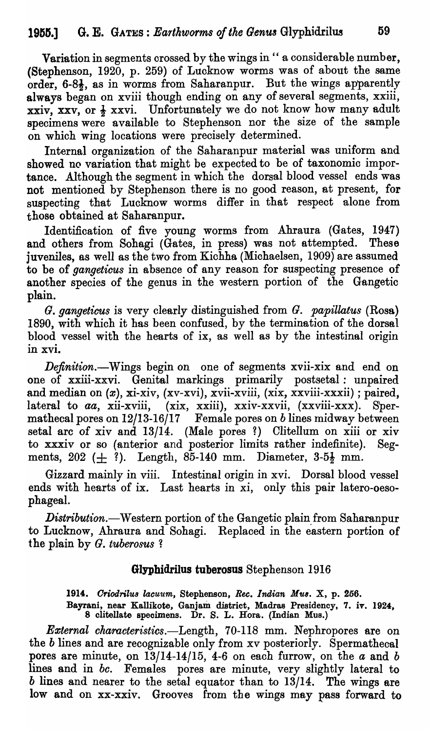Variation in segments crossed by the wings in " a considerable number, (Stephenson, 1920, p. 259) of Lucknow worms was of about the same order, 6-81, as in worms from Saharanpur. But the wings apparently always began on xviii though ending on any of several segments, xxiii, xxiv, xxv, or  $\frac{1}{2}$  xxvi. Unfortunately we do not know how many adult specimens were available to Stephenson nor the size of the sample on which wing locations were precisely determined.

Internal organization of the Saharanpur material was uniform and showed no variation that might be expected to be of taxonomic importance. Although the segment in which the dorsal blood vessel ends was not mentioned by Stephenson there is no good reason, at present, for suspecting that Lucknow worms differ in that respect alone from those obtained at Saharanpur.

Identification of five young worms from Ahraura (Gates, 1947) and others from Sohagi (Gates, in press) was not attempted. These juveniles, as well as the two from Kichha (Michaelsen, 1909) are assumed to be of *gangeticus* in absence of any reason for suspecting presence of another species of the genus in the western portion of the Gangetic plain.

*G. gangeticus* is very clearly distinguished from *G. papillatus* (Rosa) 1890, with which it has been confused, by the termination of the dorsal blood vessel with the hearts of ix, as well as by the intestinal origin in xvi.

*Definition.-Wings* begin on one of segments xvii-xix and end on one of xxiii-xxvi. Genital markings primarily postsetal: unpaired and median on  $(x)$ , xi-xiv,  $(xv-xvi)$ , xvii-xviii,  $(xix, xxviii-xxxii)$ ; paired, lateral to *aa*, xii-xviii, (xix, xxiii), xxiv-xxvii, (xxviii-xxx). Spermathecal pores on 12/13-16/17 Female pores on *b* lines midway between setal arc of xiv and 13/14. (Male pores?) Clitellum on xiii or xiv to xxxiv or so (anterior and posterior limits rather indefinite). Segments,  $202 (+ ?)$ . Length,  $85-140$  mm. Diameter,  $3-5\frac{1}{2}$  mm.

Gizzard mainly in viii. Intestinal origin in xvi. Dorsal blood vessel ends with hearts of ix. Last hearts in xi, only this pair latero-oesophageal.

*Distribution.*—Western portion of the Gangetic plain from Saharanpur to Lucknow, Ahraura and Sohagi. Replaced in the eastern portion of the plain by *G. tuberosus 1* 

# Glyphidrilus tuberosus Stephenson 1916

1914. *Criodrilus lacuum, Stephenson, Rec. Indian Mus. X, p. 256.* 

Bayrani, near Kallikote, Ganjam district, Madras Presidency, 7. iv. 1924, 8 clitellate speoimens. Dr. S. L. Hora. (Indian Mus.)

*External charoeteristies.-Length,* 70-118 mm. Nephropores are on the *b* lines and are recognizable only from xv posteriorly. Spermathecal pores are minute, on  $13/14$ -14/15, 4-6 on each furrow, on the  $a$  and  $b$ lines and in *bc*. Females pores are minute, very slightly lateral to *b* lines and nearer to the setal equator than to 13/14. The wings are low and on xx-xxiv. Grooves from the wings may pass forward to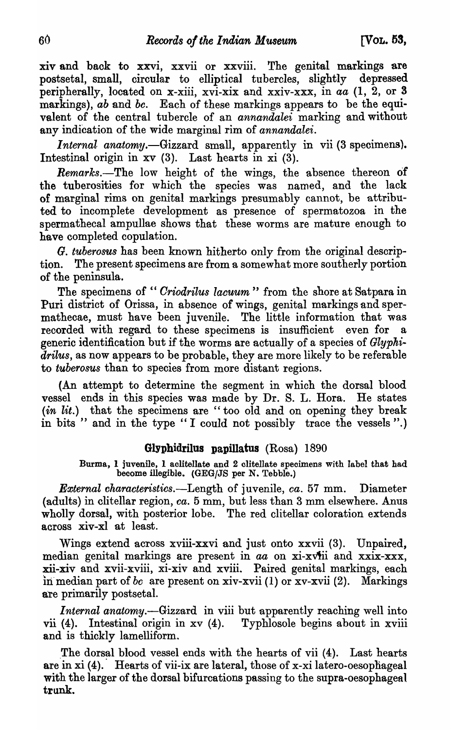xiv and back to xxvi, xxvii or xxviii. The genital markings are postsetal, small, circular to elliptical tubercles, slightly depressed peripherally, located on x-xiii, xvi-xix and xxiv-xxx, in *aa* (1, 2, or 3 markings), *ab* and *bc*. Each of these markings appears to be the equivalent of the central tubercle of an *annandalei* marking and without any indication of the wide marginal rim of *annandalei.* 

*Internal anatomy.-Gizzard* small, apparently in vii (3 specimens). Intestinal origin in xv (3). Last hearts in xi (3).

*Remarks.*-The low height of the wings, the absence thereon of the tuberosities for which the species was named, and the lack of marginal rims on genital markings presumably cannot, be attributed to incomplete development as presence of spermatozoa in the spermathecal ampullae shows that these worms are mature enough to have completed copulation.

*G. tuberosus* has been known hitherto only from the original description. The present specimens are from a somewhat more southerly portion of the peninsula.

The specimens of "*Criodrilus lacuum*" from the shore at Satpara in Puri district of Orissa, in absence of wings, genital markings and spermathecae, must have been juvenile. The little information that was recorded with regard to these specimens is insufficient even for a generic identification but if the worms are actually of a species of *Glyphidrilus,* as now appears to be probable, they are more likely to be referable to *tuberosus* than to species from more distant regions.

(An attempt to determine the segment in which the dorsal blood vessel ends in this species was made by Dr. S. L. Hora. He states *(in lit.)* that the specimens are "too old and on opening they break in bits " and in the type "I could not possibly trace the vessels".)

### GIyphidrilus papillatus (Rosa) 1890

Burma, 1 juvenile, 1 aclitellate and 2 clitellate specimens with label that had become illegible. *(GEG/JS* per N. Tebble.)

*External characteristics.-Length* of juvenile, *ca.* 57 mm. Diameter (adults) in clitellar region, *ca*. 5 mm, but less than 3 mm elsewhere. Anus wholly dorsal, with posterior lobe. The red clitellar coloration extends across xiv-xl at least.

Wings extend across xviii-xxvi and just onto xxvii (3). Unpaired, median genital markings are present in *aa* on xi-xViii and xxix-xxx, xii-xiv and xvii-xviii, xi-xiv and xviii. Paired genital markings, each in median part of *bc* are present on xiv-xvii (1) or xv-xvii (2). Markings are primarily postsetal.

*Internal anatomy.-Gizzard* in viii but apparently reaching well into vii (4). Intestinal origin in xv (4). Typhlosole begins about in xviii and is thickly lamelliform.

The dorsal blood vessel ends with the hearts of vii (4). Last hearts are in xi (4). Hearts of vii-ix are lateral, those of x-xi latero-oesophageal with the larger of the dorsal bifurcations passing to the supra-oesophageal trunk.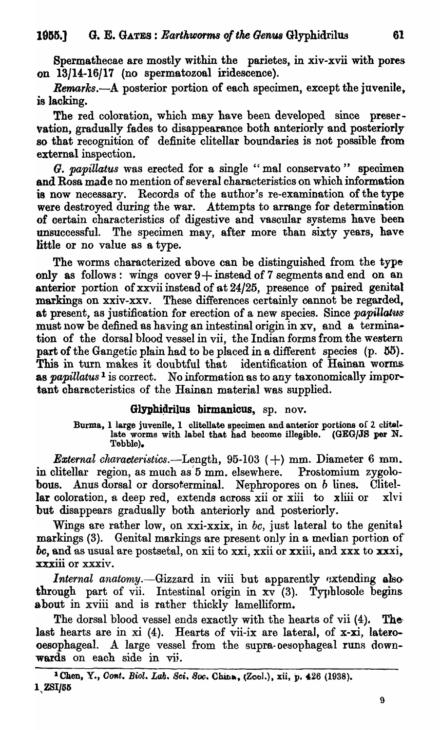Spermathecae are mostly within the parietes, in xiv-xvii with pores on 13/14-16/17 (no spermatozoal iridescence).

*Remarks.*--A posterior portion of each specimen, except the juvenile. is lacking.

The red coloration, which may have been developed since preservation, gradually fades to disappearance both anteriorly and posteriorly 80 that recognition of definite clitellar boundaries is not possible from external inspection.

*G. papillatus* was erected for a single "mal conservato" specimen and Rosa made no mention of several characteristics on which information is now necessary. Records of the author's re-examination of the type were destroyed during the war. Attempts to arrange for determination of certain characteristics of digestive and vascular systems have been unsuccessful. The specimen may, after more than sixty years, have little or no value as a type.

The worms characterized above can be distinguished from the type only as follows: wings cover  $9 +$  instead of 7 segments and end on an anterior portion of xxvii instead of at 24/25, presence of paired genital markings on xxiv-xxv. These differences certainly cannot be regarded, at present, as justification for erection of a new species. Since *papiUatus*  must now be defined as having an intestinal origin in xv, and a termina- tion of the dorsal blood vessel in vii, the Indian forms from the western part of the Gangetic plain had to be placed in a different species  $(p. 55)$ . This in turn makes it doubtful that identification of Hainan worms as *papillatus*<sup>1</sup> is correct. No information as to any taxonomically important characteristics of the Hainan material was supplied.

## Glyphidrilus birmanicus, sp. nov.

Burma, 1 large juvenile, 1 clitellate specimen and anterior portions of 2 clitellate worms with label that had become illegible. (GEG/JS per N. Tebble).

*External characteristics.*—Length,  $95-103$  (+) mm. Diameter 6 mm. in clitellar region, as much as'5 mm. elsewhere. Prostomium zygolobous. Anus dorsal or dorsoferminal. Nephropores on  $b$  lines. Clitellar coloration, a deep red, extends across xii or xiii to xliii or xlvi but disappears gradually both anteriorly and posteriorly.

Wings are rather low, on xxi-xxix, in *be,* just lateral to the genital markings (3). Genital markings are present only in a median portion of *bc*, and as usual are postsetal, on xii to xxi, xxii or xxiii, and xxx to xxxi, xxxiii or xxxiv.

*Internal anatomy.*—Gizzard in viii but apparently extending alsothrough part of vii. Intestinal origin in  $x\bar{v}^-(3)$ . Typhlosole begins about in xviii and is rather thickly lamelliform.

The dorsal blood vessel ends exactly with the hearts of vii  $(4)$ . Thelast hearts are in xi (4). Hearts of vii-ix are lateral, of x-xi, latero-· oesophageal. A large vessel from the supra-oesophageal runs downwards on each side in vi;.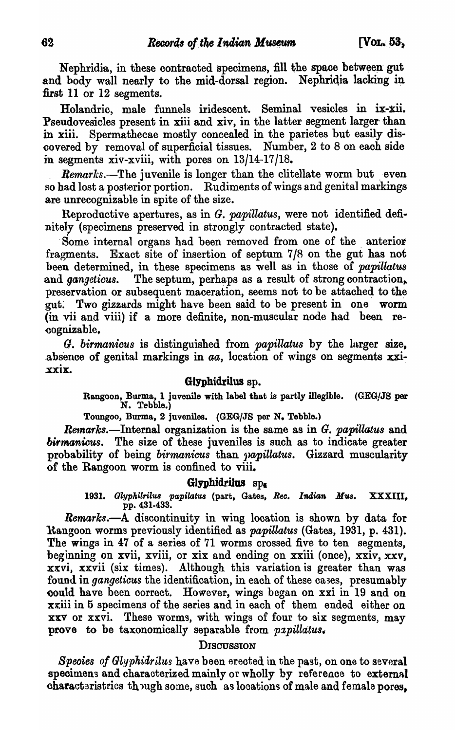Nephridia, in these contracted specimens, fill the space between gut and body wall nearly to the mid-dorsal region. Nephridia lacking in first 11 or 12 segments.

Holandric, male funnels iridescent. Seminal vesicles in ix-xii. Pseudovesicles present in xiii and xiv, in the latter segment larger than in xiii. Spermathecae mostly concealed in the parietes but easily discovered by removal of superficial tissues. Number, 2 to 8 on each side in segments xiv-xviii, with pores on  $13/14-17/18$ .

*Remarks.*—The juvenile is longer than the clitellate worm but even so had lost a posterior portion. Rudiments of wings and genital markings are unrecognizable in spite of the size.

Reproductive apertures, as in G. *papillatus,* were not identified definitely (specimens preserved in strongly contracted state).

Some internal organs had been removed from one of the anterior fragments. Exact site of insertion of septum 7/8 on the gut has not been determined, in these specimens as well as in those of *papillatus*  and *gangeticus*. The septum, perhaps as a result of strong contraction, preservation or subsequent maceration, seems not to be attached to the gut. Two gizzards might have been said to be present in one worm (in vii and viii) if a more definite, non-muscular node had been re-~ognizable,

*G. birmanicus* is distinguished from *papillatus* by the lurger size, absence of genital markings in  $aa$ , location of wings on segments  $\overline{xxi}$ . XXIX.

### Glyphidrilus sp.

Rangoon, Burma, 1 juvenile with label that is partly illegible. (GEG/JS per N. Tebble.)

Toungoo, Burma, 2 juveniles. (GEG/JS per N. Tebble.)

Remarks.-Internal organization is the same as in *G. papillatus* and birmanicus. The size of these juveniles is such as to indicate greater probability of being *birmanicus* than *japillatus*. Gizzard muscularity of the Rangoon worm is confined to viii.

#### Glyphidrilus  $sp_{\mathbf{g}}$

1931. Glyphilrilus papilatus (part, Gates, Rec. Indian Mus. XXXIII, pp. 431·433.

*Remarks.-A* discontinuity in wing location is shown by data for Rangoon worms previously identified as *papillatus* (Gates, 1931, p. 431). The wings in 47 of a series of 71 worms crossed five to ten segments, beginning on xvii, xviii, or xix and ending on xxiii (once), xxiv, xxv, xxvi, xxvii (six times). Although this variation is greater than was found in *gangeticus* the identification, in each of these cases, presumably ~ould have been oorrect. However, wings began on xxi in 19 and on xxiii in 5 specimens of the series and in each of them ended either on xxv or xxvi. These worms, with wings of four to six segments, may prove to be taxonomically separable from *papillatus*.

### **DISCUSSION**

*Species of Glyphidrilus* have been erected in the past, on one to several specimens and characterized mainly or wholly by reference to external characteristrics though some, such as locations of male and female pores,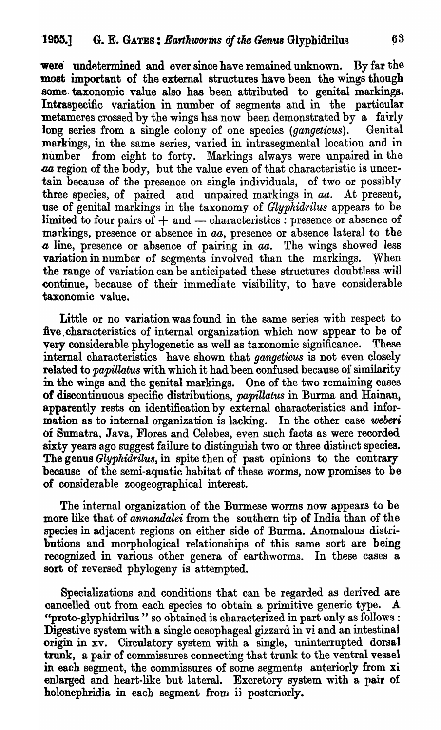were undetermined and ever since have remained unknown. By far the most important of the external structures have been the wings though some taxonomic value also has been attributed to genital markings. Intraspecific variation in number of segments and in the particular metameres crossed by the wings has now been demonstrated by a fairly long series from a single colony of one species *(gangeticus)*. Genital markings, in the same series, varied in intrasegmental location and in number from eight to forty. Markings always were unpaired in the aa region of the body, but the value even of that characteristic is uncertain because of the presence on single individuals, of two or possibly three species, of paired and unpaired markings in *aa.* At present, use of genital markings in the taxonomy of *Glyphidrilus* appears to be limited to four pairs of  $+$  and  $-$  characteristics : presence or absence of markings, presence or absence in *aa,* presence or absence lateral to the *a* line, presence or absence of pairing in *aa.* The wings showed less variation in number of segments involved than the markings. When the range of variation can be anticipated these structures doubtless will continue, because of their immediate visibility, to have considerable taxonomic value.

Little or no variation was found in the same series with respect to five, characteristics of internal organization which now appear to be of very considerable phylogenetic as well as taxonomic significance. These internal characteristics have shown that *gangeticus* is not even closely related to *papillatus* with which it had been confused because of similarity in the wings and the genital markings. One of the two remaining cases of 'discontinuous specific distributions, *papillatus* in Burma and Hainan. apparently rests on identification by external characteristics and information as to internal organization is lacking. In the other case *weberi*  of Sumatra, Java, Flores and Celebes, even such facts as were recorded. sixty years ago suggest failure to distinguish two or three distinct species. The genus *Glyphidrilus,* in spite then of past opinions to the contrary because of the semi-aquatic habitat of these worms, now promises to be of considerable zoogeographical interest.

The internal organization of the Burmese worms now appears to be more like that of *annandalei* from the southern tip of India than of the species in adjacent regions on either side of Burma. Anomalous distributions and morphological relationships of this same sort are being recognized in various other genera of earthworms. In these cases a sort of reversed phylogeny is attempted.

Specializations and conditions that can be regarded as derived are cancelled out from each species to obtain a primitive generic type. A "proto-glyphidrilus" so obtained is characterized in part only as follows: Digestive system with a single oesophageal gizzard in vi and an intestinal origin in xv. Circulatory system with a single, uninterrupted dorsal trunk, a pair of commissures connecting that trunk to the ventral vessel in each segment, the commissures of some segments anteriorly from xi enlarged and heart-like but lateral. Excretory system with a pair of holonephridia in each segment from ii posteriorly.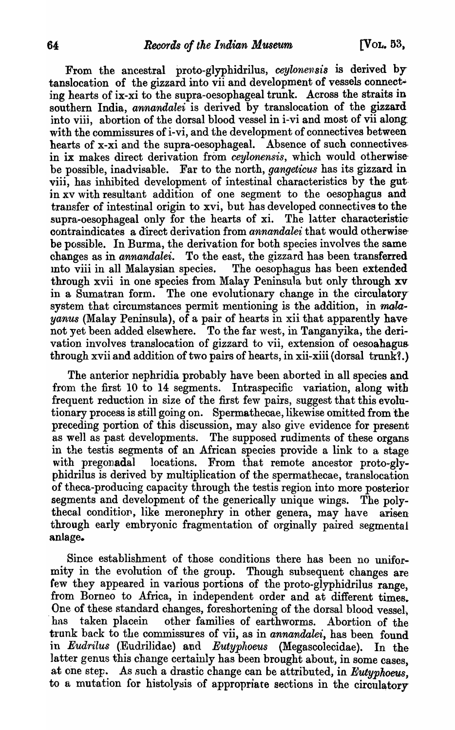From the ancestral proto-glyphidrilus, *ceylonensis* is derived by tanslocation of the gizzard into vii and development of vessels connect· ing hearts of ix-xi to the supra-oesophageal trunk. Across the straits in southern India, *annandalei* is derived by translocation of the gizzard into viii, abortion of the dorsal blood vessel in i-vi and most of vii along with the commissures of i-vi, and the development of connectives between hearts of x-xi and the supra-oesophageal. Absence of such connectives. in ix makes direct derivation from *ceylonensis*, which would otherwisebe possible, inadvisable. Far to the north, *gangeticus* has its gizzard in viii, has inhibited development of intestinal characteristics by the gut· in xv with resultant addition of one segment to the oesophagus and transfer of intestinal origin to xvi, but has developed connectives to the supra-oesophageal only for the hearts of xi. The latter characteristic contraindicates a direct derivation from *annandalei* that would otherwisebe possible. In Burma, the derivation for both species involves the same changes as in *annandalei.* To the east, the gizzard has been transferred mto viii in all Malaysian species. The oesophagus has been extended through xvii in one species from Malay Peninsula but only through xv in a Sumatran form. The one evolutionary change in the circulatory· system that circumstances permit mentioning is the addition, in *malayanus* (Malay Peninsula), of a pair of hearts in xii that apparently have not yet been added elsewhere. To the far west, in Tanganyika, the derivation involves translocation of gizzard to vii, extension of oesoahagus through xvii and addition of two pairs of hearts, in xii-xiii (dorsal trunk?.)

The anterior nephridia probably have been aborted in all species and from the first 10 to 14 segments. Intraspecific variation, along with frequent reduction in size of the first few pairs, suggest that this evolutionary process is still going on. Spermathecae, likewise omitted from the preceding portion of this discussion, may also give evidence for present as well as past developments. The supposed rudiments of these organs in the testis segments of an African species provide a link to a stage with pregonadal locations. From that remote ancestor proto-glyphidrilus is derived by multiplication of the spermathecae, translocation of theca-producing capacity through the testis region into more posterior segments and development of the generically unique wings. The polythecal conditiop, like meronephry in other genera, may have arisen through early embryonic fragmentation of orginally paired segmental anlage.

Since establishment of those conditions there has been no uniformity in the evolution of the group. Though subsequent changes are few they appeared in various portions of the proto-glyphidrilus range, from Borneo to Africa, in independent order and at different times. . One of these standard changes, foreshortening of the dorsal blood vessel, has taken placein other families of earthworms. Abortion of the trunk back to the commissures of vii, as in *annandalei*, has been found in *Eudrilus* (Eudrilidae) and *Eutyphoeus* (Megascolecidae). In the latter genus this change certainly has been brought about, in some cases. at one step. As such a drastic change can be attributed, in *Eutyphoeus*, to a mutation for histolysis of appropriate sections in the circulatory